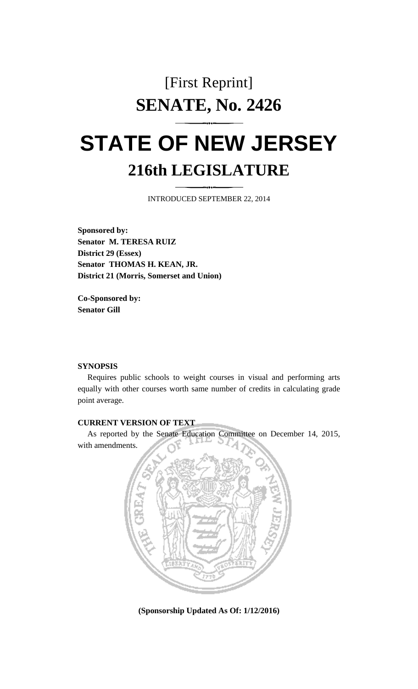## [First Reprint] **SENATE, No. 2426**

# **STATE OF NEW JERSEY 216th LEGISLATURE**

INTRODUCED SEPTEMBER 22, 2014

**Sponsored by: Senator M. TERESA RUIZ District 29 (Essex) Senator THOMAS H. KEAN, JR. District 21 (Morris, Somerset and Union)**

**Co-Sponsored by: Senator Gill**

#### **SYNOPSIS**

Requires public schools to weight courses in visual and performing arts equally with other courses worth same number of credits in calculating grade point average.

#### **CURRENT VERSION OF TEXT**

As reported by the Senate Education Committee on December 14, 2015, with amendments.



**(Sponsorship Updated As Of: 1/12/2016)**